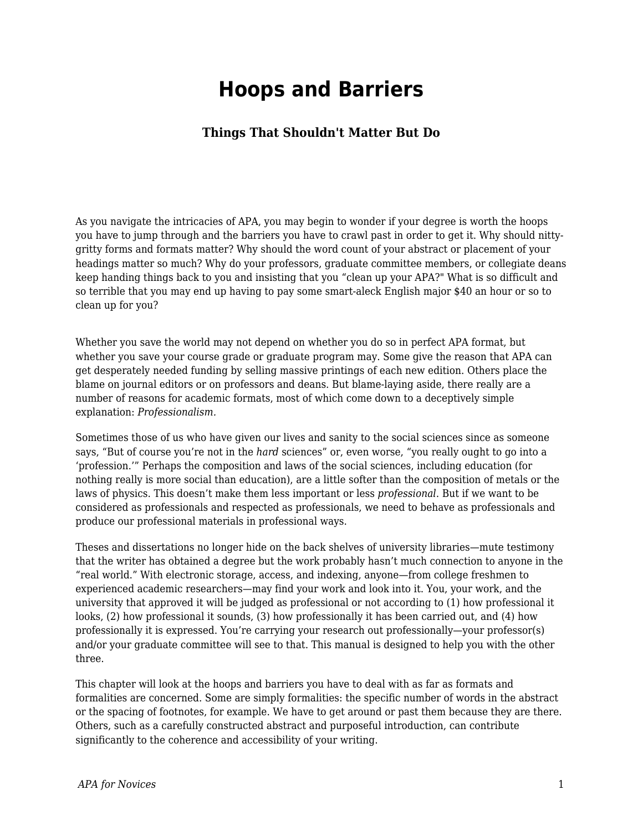# **Hoops and Barriers**

### **Things That Shouldn't Matter But Do**

As you navigate the intricacies of APA, you may begin to wonder if your degree is worth the hoops you have to jump through and the barriers you have to crawl past in order to get it. Why should nittygritty forms and formats matter? Why should the word count of your abstract or placement of your headings matter so much? Why do your professors, graduate committee members, or collegiate deans keep handing things back to you and insisting that you "clean up your APA?" What is so difficult and so terrible that you may end up having to pay some smart-aleck English major \$40 an hour or so to clean up for you?

Whether you save the world may not depend on whether you do so in perfect APA format, but whether you save your course grade or graduate program may. Some give the reason that APA can get desperately needed funding by selling massive printings of each new edition. Others place the blame on journal editors or on professors and deans. But blame-laying aside, there really are a number of reasons for academic formats, most of which come down to a deceptively simple explanation: *Professionalism.*

Sometimes those of us who have given our lives and sanity to the social sciences since as someone says, "But of course you're not in the *hard* sciences" or, even worse, "you really ought to go into a 'profession.'" Perhaps the composition and laws of the social sciences, including education (for nothing really is more social than education), are a little softer than the composition of metals or the laws of physics. This doesn't make them less important or less *professional*. But if we want to be considered as professionals and respected as professionals, we need to behave as professionals and produce our professional materials in professional ways.

Theses and dissertations no longer hide on the back shelves of university libraries—mute testimony that the writer has obtained a degree but the work probably hasn't much connection to anyone in the "real world." With electronic storage, access, and indexing, anyone—from college freshmen to experienced academic researchers—may find your work and look into it. You, your work, and the university that approved it will be judged as professional or not according to (1) how professional it looks, (2) how professional it sounds, (3) how professionally it has been carried out, and (4) how professionally it is expressed. You're carrying your research out professionally—your professor(s) and/or your graduate committee will see to that. This manual is designed to help you with the other three.

This chapter will look at the hoops and barriers you have to deal with as far as formats and formalities are concerned. Some are simply formalities: the specific number of words in the abstract or the spacing of footnotes, for example. We have to get around or past them because they are there. Others, such as a carefully constructed abstract and purposeful introduction, can contribute significantly to the coherence and accessibility of your writing.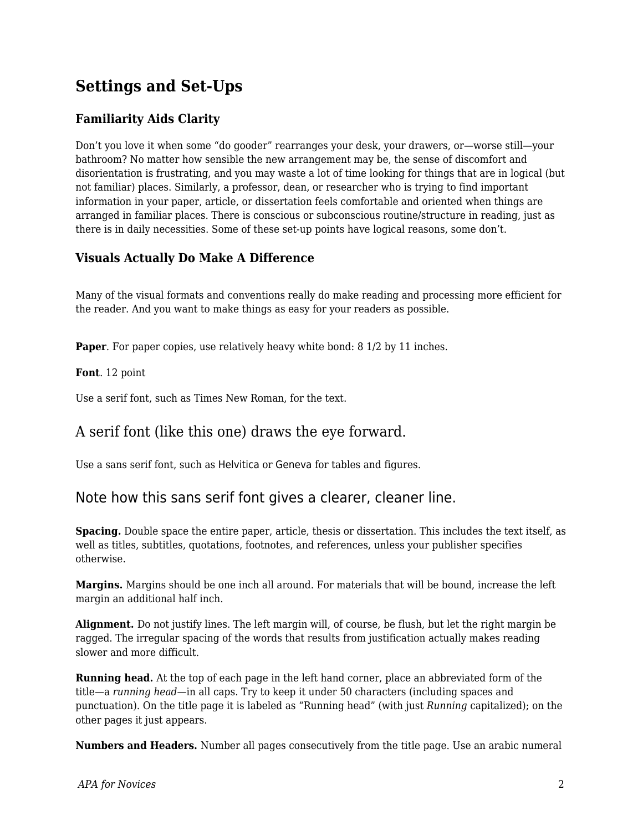## **Settings and Set-Ups**

## **Familiarity Aids Clarity**

Don't you love it when some "do gooder" rearranges your desk, your drawers, or—worse still—your bathroom? No matter how sensible the new arrangement may be, the sense of discomfort and disorientation is frustrating, and you may waste a lot of time looking for things that are in logical (but not familiar) places. Similarly, a professor, dean, or researcher who is trying to find important information in your paper, article, or dissertation feels comfortable and oriented when things are arranged in familiar places. There is conscious or subconscious routine/structure in reading, just as there is in daily necessities. Some of these set-up points have logical reasons, some don't.

### **Visuals Actually Do Make A Difference**

Many of the visual formats and conventions really do make reading and processing more efficient for the reader. And you want to make things as easy for your readers as possible.

**Paper**. For paper copies, use relatively heavy white bond: 8 1/2 by 11 inches.

**Font**. 12 point

Use a serif font, such as Times New Roman, for the text.

## A serif font (like this one) draws the eye forward.

Use a sans serif font, such as Helvitica or Geneva for tables and figures.

## Note how this sans serif font gives a clearer, cleaner line.

**Spacing.** Double space the entire paper, article, thesis or dissertation. This includes the text itself, as well as titles, subtitles, quotations, footnotes, and references, unless your publisher specifies otherwise.

**Margins.** Margins should be one inch all around. For materials that will be bound, increase the left margin an additional half inch.

**Alignment.** Do not justify lines. The left margin will, of course, be flush, but let the right margin be ragged. The irregular spacing of the words that results from justification actually makes reading slower and more difficult.

**Running head.** At the top of each page in the left hand corner, place an abbreviated form of the title—a *running head—*in all caps. Try to keep it under 50 characters (including spaces and punctuation). On the title page it is labeled as "Running head" (with just *Running* capitalized); on the other pages it just appears.

**Numbers and Headers.** Number all pages consecutively from the title page. Use an arabic numeral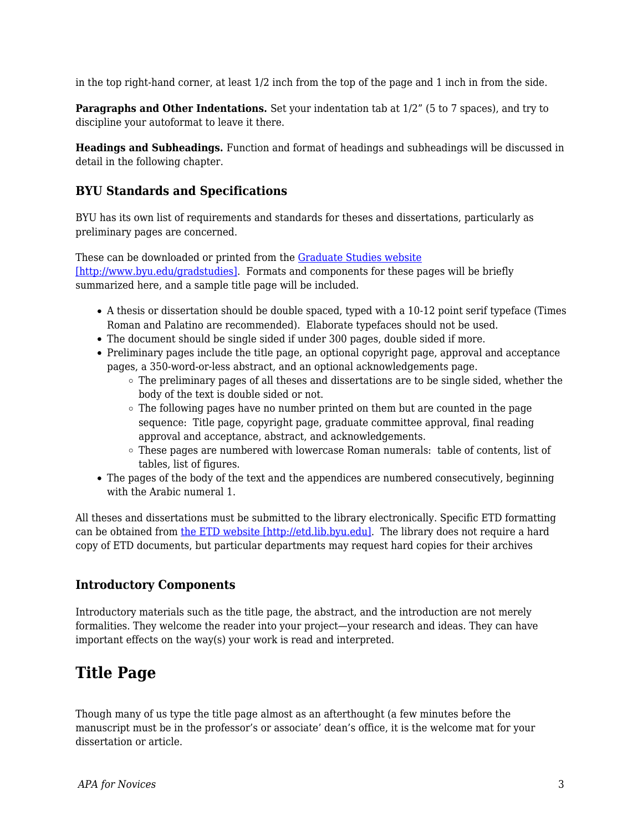in the top right-hand corner, at least 1/2 inch from the top of the page and 1 inch in from the side.

**Paragraphs and Other Indentations.** Set your indentation tab at  $1/2$ " (5 to 7 spaces), and try to discipline your autoformat to leave it there.

**Headings and Subheadings.** Function and format of headings and subheadings will be discussed in detail in the following chapter.

#### **BYU Standards and Specifications**

BYU has its own list of requirements and standards for theses and dissertations, particularly as preliminary pages are concerned.

These can be downloaded or printed from the [Graduate Studies website](http://www.byu.edu/gradstudies) [\[http://www.byu.edu/gradstudies\]](http://www.byu.edu/gradstudies). Formats and components for these pages will be briefly summarized here, and a sample title page will be included.

- A thesis or dissertation should be double spaced, typed with a 10-12 point serif typeface (Times Roman and Palatino are recommended). Elaborate typefaces should not be used.
- The document should be single sided if under 300 pages, double sided if more.
- Preliminary pages include the title page, an optional copyright page, approval and acceptance pages, a 350-word-or-less abstract, and an optional acknowledgements page.
	- The preliminary pages of all theses and dissertations are to be single sided, whether the body of the text is double sided or not.
	- $\circ$  The following pages have no number printed on them but are counted in the page sequence: Title page, copyright page, graduate committee approval, final reading approval and acceptance, abstract, and acknowledgements.
	- $\circ$  These pages are numbered with lowercase Roman numerals: table of contents, list of tables, list of figures.
- The pages of the body of the text and the appendices are numbered consecutively, beginning with the Arabic numeral 1.

All theses and dissertations must be submitted to the library electronically. Specific ETD formatting can be obtained from [the ETD website \[http://etd.lib.byu.edu\].](http://etd.lib.byu.edu) The library does not require a hard copy of ETD documents, but particular departments may request hard copies for their archives

#### **Introductory Components**

Introductory materials such as the title page, the abstract, and the introduction are not merely formalities. They welcome the reader into your project—your research and ideas. They can have important effects on the way(s) your work is read and interpreted.

## **Title Page**

Though many of us type the title page almost as an afterthought (a few minutes before the manuscript must be in the professor's or associate' dean's office, it is the welcome mat for your dissertation or article.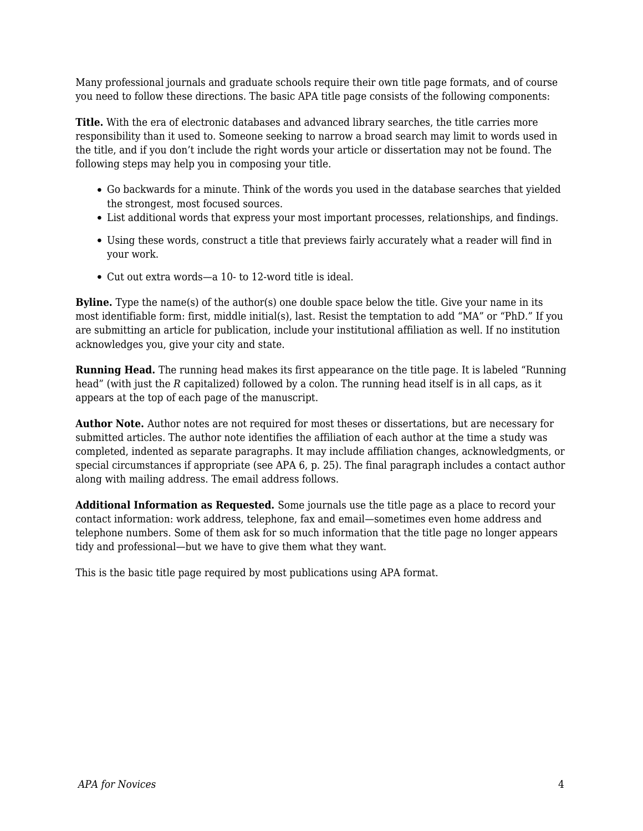Many professional journals and graduate schools require their own title page formats, and of course you need to follow these directions. The basic APA title page consists of the following components:

**Title.** With the era of electronic databases and advanced library searches, the title carries more responsibility than it used to. Someone seeking to narrow a broad search may limit to words used in the title, and if you don't include the right words your article or dissertation may not be found. The following steps may help you in composing your title.

- Go backwards for a minute. Think of the words you used in the database searches that yielded the strongest, most focused sources.
- List additional words that express your most important processes, relationships, and findings.
- Using these words, construct a title that previews fairly accurately what a reader will find in your work.
- Cut out extra words—a 10- to 12-word title is ideal.

**Byline.** Type the name(s) of the author(s) one double space below the title. Give your name in its most identifiable form: first, middle initial(s), last. Resist the temptation to add "MA" or "PhD." If you are submitting an article for publication, include your institutional affiliation as well. If no institution acknowledges you, give your city and state.

**Running Head.** The running head makes its first appearance on the title page. It is labeled "Running head" (with just the *R* capitalized) followed by a colon. The running head itself is in all caps, as it appears at the top of each page of the manuscript.

**Author Note.** Author notes are not required for most theses or dissertations, but are necessary for submitted articles. The author note identifies the affiliation of each author at the time a study was completed, indented as separate paragraphs. It may include affiliation changes, acknowledgments, or special circumstances if appropriate (see APA 6, p. 25). The final paragraph includes a contact author along with mailing address. The email address follows.

**Additional Information as Requested.** Some journals use the title page as a place to record your contact information: work address, telephone, fax and email—sometimes even home address and telephone numbers. Some of them ask for so much information that the title page no longer appears tidy and professional—but we have to give them what they want.

This is the basic title page required by most publications using APA format.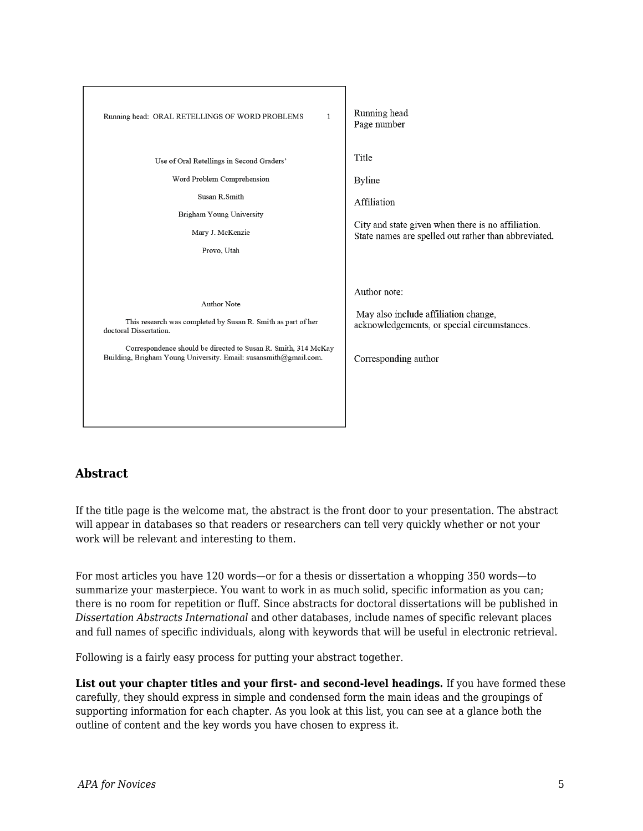

## **Abstract**

If the title page is the welcome mat, the abstract is the front door to your presentation. The abstract will appear in databases so that readers or researchers can tell very quickly whether or not your work will be relevant and interesting to them.

For most articles you have 120 words—or for a thesis or dissertation a whopping 350 words—to summarize your masterpiece. You want to work in as much solid, specific information as you can; there is no room for repetition or fluff. Since abstracts for doctoral dissertations will be published in *Dissertation Abstracts International* and other databases, include names of specific relevant places and full names of specific individuals, along with keywords that will be useful in electronic retrieval.

Following is a fairly easy process for putting your abstract together.

**List out your chapter titles and your first- and second-level headings.** If you have formed these carefully, they should express in simple and condensed form the main ideas and the groupings of supporting information for each chapter. As you look at this list, you can see at a glance both the outline of content and the key words you have chosen to express it.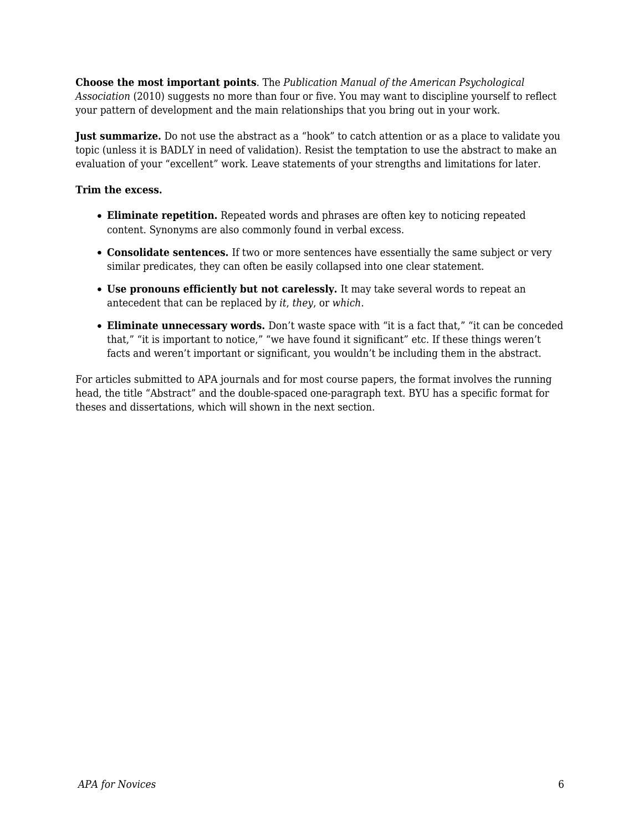**Choose the most important points**. The *Publication Manual of the American Psychological Association* (2010) suggests no more than four or five. You may want to discipline yourself to reflect your pattern of development and the main relationships that you bring out in your work.

**Just summarize.** Do not use the abstract as a "hook" to catch attention or as a place to validate you topic (unless it is BADLY in need of validation). Resist the temptation to use the abstract to make an evaluation of your "excellent" work. Leave statements of your strengths and limitations for later.

#### **Trim the excess.**

- **Eliminate repetition.** Repeated words and phrases are often key to noticing repeated content. Synonyms are also commonly found in verbal excess.
- **Consolidate sentences.** If two or more sentences have essentially the same subject or very similar predicates, they can often be easily collapsed into one clear statement.
- **Use pronouns efficiently but not carelessly.** It may take several words to repeat an antecedent that can be replaced by *it*, *they*, or *which*.
- **Eliminate unnecessary words.** Don't waste space with "it is a fact that," "it can be conceded that," "it is important to notice," "we have found it significant" etc. If these things weren't facts and weren't important or significant, you wouldn't be including them in the abstract.

For articles submitted to APA journals and for most course papers, the format involves the running head, the title "Abstract" and the double-spaced one-paragraph text. BYU has a specific format for theses and dissertations, which will shown in the next section.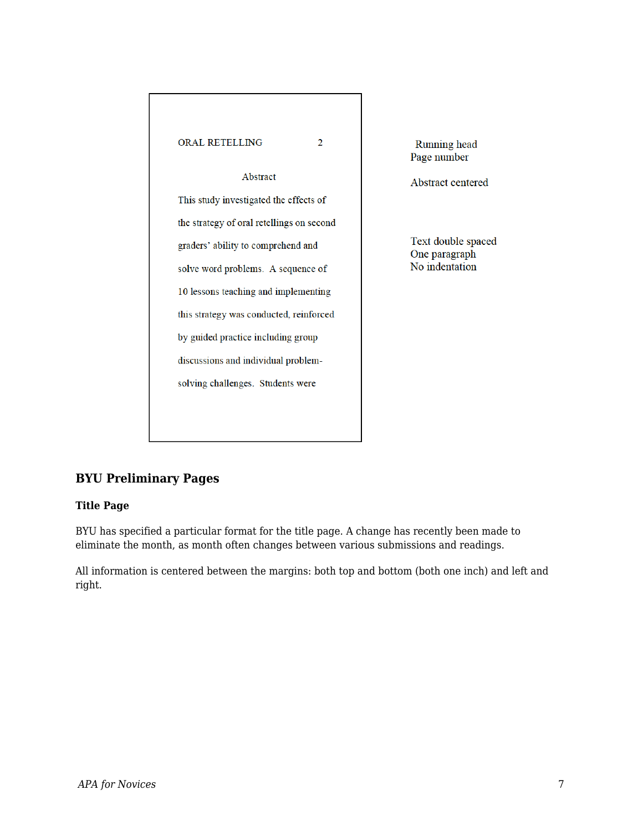

**Running** head Page number

Abstract centered

Text double spaced One paragraph No indentation

## **BYU Preliminary Pages**

#### **Title Page**

BYU has specified a particular format for the title page. A change has recently been made to eliminate the month, as month often changes between various submissions and readings.

All information is centered between the margins: both top and bottom (both one inch) and left and right.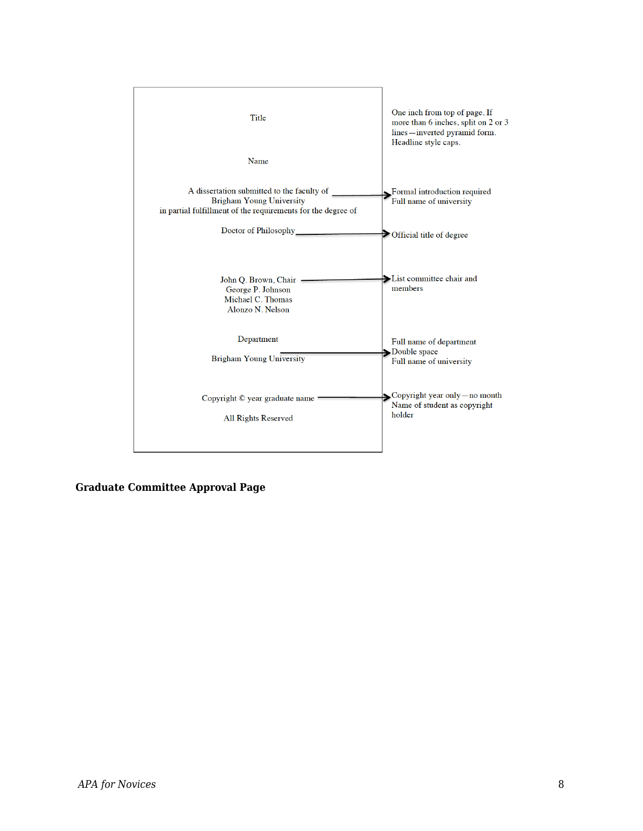

**Graduate Committee Approval Page**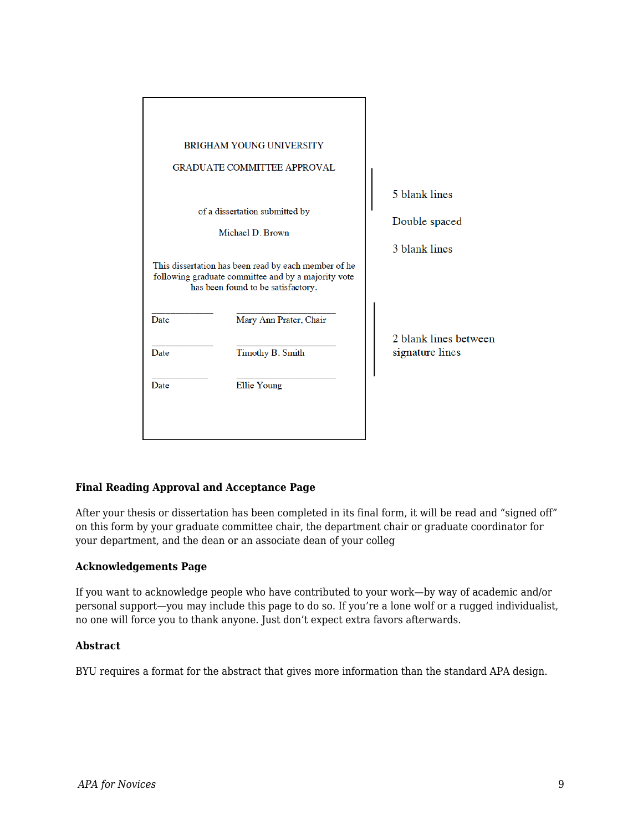|                                                                                                                                                   | <b>BRIGHAM YOUNG UNIVERSITY</b>    |                       |
|---------------------------------------------------------------------------------------------------------------------------------------------------|------------------------------------|-----------------------|
|                                                                                                                                                   | <b>GRADUATE COMMITTEE APPROVAL</b> |                       |
|                                                                                                                                                   |                                    |                       |
|                                                                                                                                                   |                                    | 5 blank lines         |
| of a dissertation submitted by<br>Michael D. Brown                                                                                                |                                    | Double spaced         |
|                                                                                                                                                   |                                    | 3 blank lines         |
| This dissertation has been read by each member of he<br>following graduate committee and by a majority vote<br>has been found to be satisfactory. |                                    |                       |
| Date                                                                                                                                              | Mary Ann Prater, Chair             | 2 blank lines between |
| Date                                                                                                                                              | Timothy B. Smith                   | signature lines       |
| Date                                                                                                                                              | Ellie Young                        |                       |
|                                                                                                                                                   |                                    |                       |
|                                                                                                                                                   |                                    |                       |

#### **Final Reading Approval and Acceptance Page**

After your thesis or dissertation has been completed in its final form, it will be read and "signed off" on this form by your graduate committee chair, the department chair or graduate coordinator for your department, and the dean or an associate dean of your colleg

#### **Acknowledgements Page**

If you want to acknowledge people who have contributed to your work—by way of academic and/or personal support—you may include this page to do so. If you're a lone wolf or a rugged individualist, no one will force you to thank anyone. Just don't expect extra favors afterwards.

#### **Abstract**

BYU requires a format for the abstract that gives more information than the standard APA design.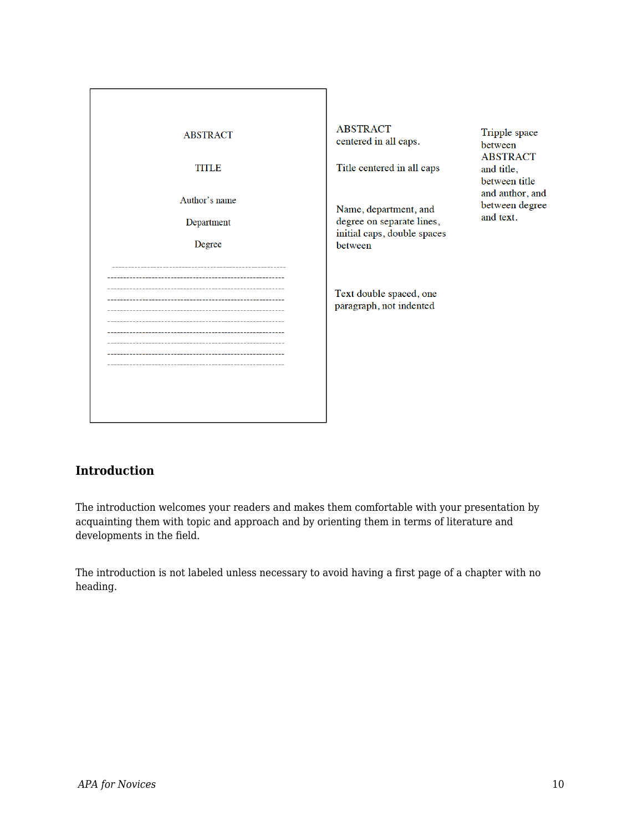| <b>ABSTRACT</b><br>TITLE<br>Author's name<br>Department<br>Degree | <b>ABSTRACT</b><br>centered in all caps.<br>Title centered in all caps<br>Name, department, and<br>degree on separate lines,<br>initial caps, double spaces<br>between | Tripple space<br>between<br><b>ABSTRACT</b><br>and title,<br>between title<br>and author, and<br>between degree<br>and text. |
|-------------------------------------------------------------------|------------------------------------------------------------------------------------------------------------------------------------------------------------------------|------------------------------------------------------------------------------------------------------------------------------|
|                                                                   | Text double spaced, one<br>paragraph, not indented                                                                                                                     |                                                                                                                              |

## **Introduction**

The introduction welcomes your readers and makes them comfortable with your presentation by acquainting them with topic and approach and by orienting them in terms of literature and developments in the field.

The introduction is not labeled unless necessary to avoid having a first page of a chapter with no heading.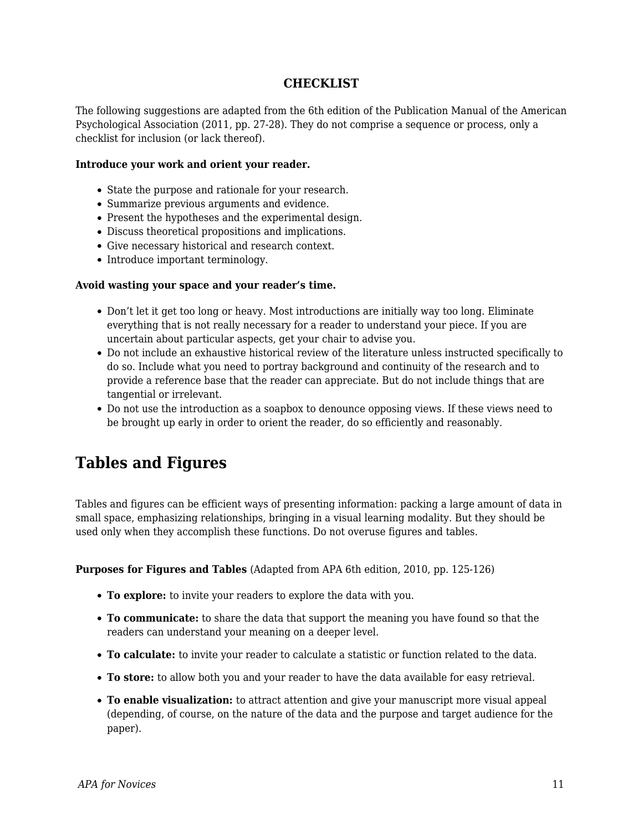### **CHECKLIST**

The following suggestions are adapted from the 6th edition of the Publication Manual of the American Psychological Association (2011, pp. 27-28). They do not comprise a sequence or process, only a checklist for inclusion (or lack thereof).

#### **Introduce your work and orient your reader.**

- State the purpose and rationale for your research.
- Summarize previous arguments and evidence.
- Present the hypotheses and the experimental design.
- Discuss theoretical propositions and implications.
- Give necessary historical and research context.
- Introduce important terminology.

#### **Avoid wasting your space and your reader's time.**

- Don't let it get too long or heavy. Most introductions are initially way too long. Eliminate everything that is not really necessary for a reader to understand your piece. If you are uncertain about particular aspects, get your chair to advise you.
- Do not include an exhaustive historical review of the literature unless instructed specifically to do so. Include what you need to portray background and continuity of the research and to provide a reference base that the reader can appreciate. But do not include things that are tangential or irrelevant.
- Do not use the introduction as a soapbox to denounce opposing views. If these views need to be brought up early in order to orient the reader, do so efficiently and reasonably.

## **Tables and Figures**

Tables and figures can be efficient ways of presenting information: packing a large amount of data in small space, emphasizing relationships, bringing in a visual learning modality. But they should be used only when they accomplish these functions. Do not overuse figures and tables.

**Purposes for Figures and Tables** (Adapted from APA 6th edition, 2010, pp. 125-126)

- **To explore:** to invite your readers to explore the data with you.
- **To communicate:** to share the data that support the meaning you have found so that the readers can understand your meaning on a deeper level.
- **To calculate:** to invite your reader to calculate a statistic or function related to the data.
- **To store:** to allow both you and your reader to have the data available for easy retrieval.
- **To enable visualization:** to attract attention and give your manuscript more visual appeal (depending, of course, on the nature of the data and the purpose and target audience for the paper).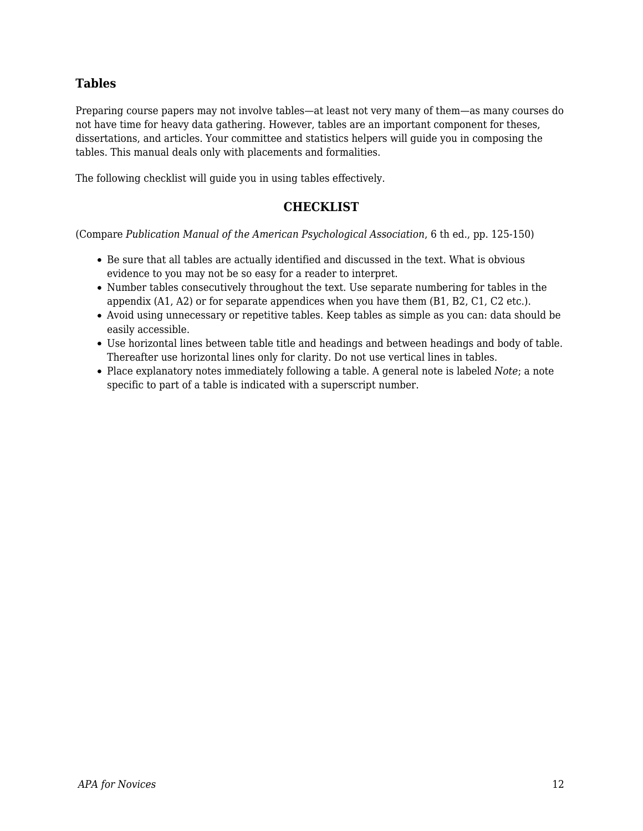## **Tables**

Preparing course papers may not involve tables—at least not very many of them—as many courses do not have time for heavy data gathering. However, tables are an important component for theses, dissertations, and articles. Your committee and statistics helpers will guide you in composing the tables. This manual deals only with placements and formalities.

The following checklist will guide you in using tables effectively.

### **CHECKLIST**

(Compare *Publication Manual of the American Psychological Association*, 6 th ed., pp. 125-150)

- Be sure that all tables are actually identified and discussed in the text. What is obvious evidence to you may not be so easy for a reader to interpret.
- Number tables consecutively throughout the text. Use separate numbering for tables in the appendix (A1, A2) or for separate appendices when you have them (B1, B2, C1, C2 etc.).
- Avoid using unnecessary or repetitive tables. Keep tables as simple as you can: data should be easily accessible.
- Use horizontal lines between table title and headings and between headings and body of table. Thereafter use horizontal lines only for clarity. Do not use vertical lines in tables.
- Place explanatory notes immediately following a table. A general note is labeled *Note*; a note specific to part of a table is indicated with a superscript number.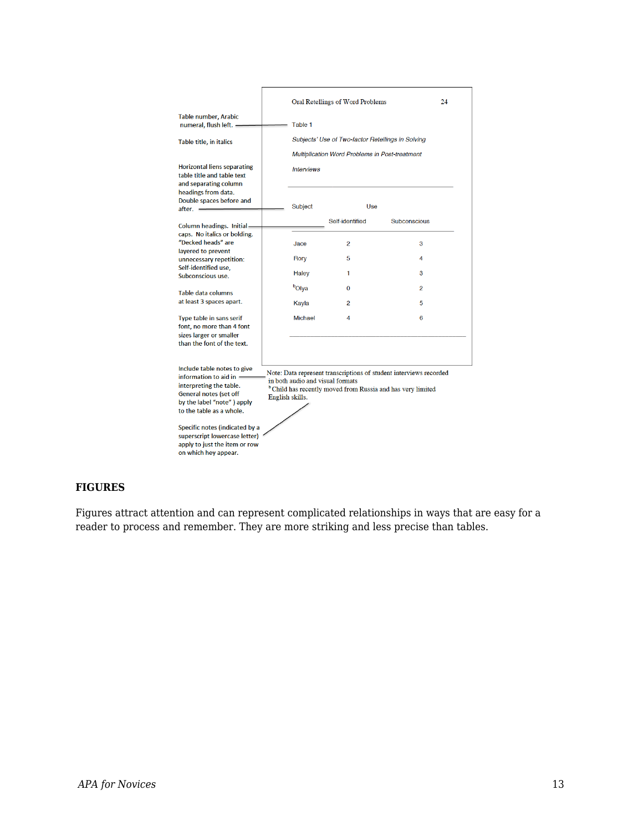|                                                                                                                                                                                                                                                                                                                                                                                                                                                                                                            |  | Oral Retellings of Word Problems                                                                                                | 24              |                |  |  |
|------------------------------------------------------------------------------------------------------------------------------------------------------------------------------------------------------------------------------------------------------------------------------------------------------------------------------------------------------------------------------------------------------------------------------------------------------------------------------------------------------------|--|---------------------------------------------------------------------------------------------------------------------------------|-----------------|----------------|--|--|
| Table number, Arabic<br>numeral, flush left. -                                                                                                                                                                                                                                                                                                                                                                                                                                                             |  | Table 1                                                                                                                         |                 |                |  |  |
| Table title, in italics                                                                                                                                                                                                                                                                                                                                                                                                                                                                                    |  | Subjects' Use of Two-factor Retellings in Solving<br><b>Multiplication Word Problems in Post-treatment</b><br><b>Interviews</b> |                 |                |  |  |
| <b>Horizontal liens separating</b><br>table title and table text<br>and separating column                                                                                                                                                                                                                                                                                                                                                                                                                  |  |                                                                                                                                 |                 |                |  |  |
| headings from data.<br>Double spaces before and<br>$after. =$                                                                                                                                                                                                                                                                                                                                                                                                                                              |  | Subject                                                                                                                         | Use             |                |  |  |
| Column headings. Initial-                                                                                                                                                                                                                                                                                                                                                                                                                                                                                  |  |                                                                                                                                 | Self-identified | Subconscious   |  |  |
| caps. No italics or bolding.<br>"Decked heads" are                                                                                                                                                                                                                                                                                                                                                                                                                                                         |  | Jace                                                                                                                            | 2               | 3              |  |  |
| lavered to prevent<br>unnecessary repetition:                                                                                                                                                                                                                                                                                                                                                                                                                                                              |  | Rory                                                                                                                            | 5               | 4              |  |  |
| Self-identified use,<br>Subconscious use.                                                                                                                                                                                                                                                                                                                                                                                                                                                                  |  | Haley                                                                                                                           | 1               | 3              |  |  |
| Table data columns                                                                                                                                                                                                                                                                                                                                                                                                                                                                                         |  | <b>b</b> Olya                                                                                                                   | $\Omega$        | $\mathfrak{p}$ |  |  |
| at least 3 spaces apart.                                                                                                                                                                                                                                                                                                                                                                                                                                                                                   |  | Kayla                                                                                                                           | 2               | 5              |  |  |
| <b>Type table in sans serif</b><br>font, no more than 4 font<br>sizes larger or smaller<br>than the font of the text.                                                                                                                                                                                                                                                                                                                                                                                      |  | Michael                                                                                                                         | Δ               | 6              |  |  |
| Include table notes to give<br>Note: Data represent transcriptions of student interviews recorded<br>information to aid in $=$<br>in both audio and visual formats<br>interpreting the table.<br><sup>b</sup> Child has recently moved from Russia and has very limited<br>General notes (set off<br>English skills.<br>by the label "note") apply<br>to the table as a whole.<br>Specific notes (indicated by a<br>superscript lowercase letter)<br>apply to just the item or row<br>on which hey appear. |  |                                                                                                                                 |                 |                |  |  |

#### **FIGURES**

Figures attract attention and can represent complicated relationships in ways that are easy for a reader to process and remember. They are more striking and less precise than tables.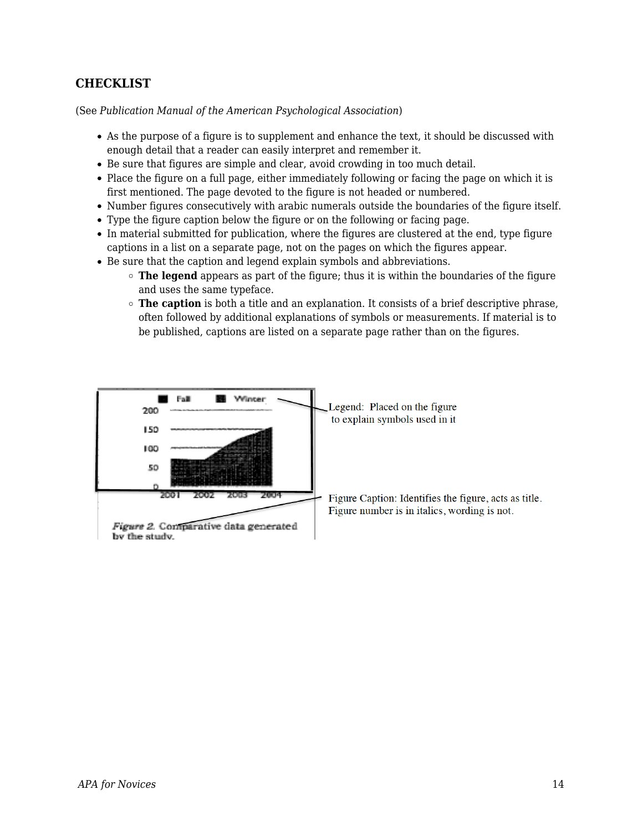## **CHECKLIST**

(See *Publication Manual of the American Psychological Association*)

- As the purpose of a figure is to supplement and enhance the text, it should be discussed with enough detail that a reader can easily interpret and remember it.
- Be sure that figures are simple and clear, avoid crowding in too much detail.
- Place the figure on a full page, either immediately following or facing the page on which it is first mentioned. The page devoted to the figure is not headed or numbered.
- Number figures consecutively with arabic numerals outside the boundaries of the figure itself.
- Type the figure caption below the figure or on the following or facing page.
- In material submitted for publication, where the figures are clustered at the end, type figure captions in a list on a separate page, not on the pages on which the figures appear.
- Be sure that the caption and legend explain symbols and abbreviations.
	- **The legend** appears as part of the figure; thus it is within the boundaries of the figure and uses the same typeface.
	- **The caption** is both a title and an explanation. It consists of a brief descriptive phrase, often followed by additional explanations of symbols or measurements. If material is to be published, captions are listed on a separate page rather than on the figures.

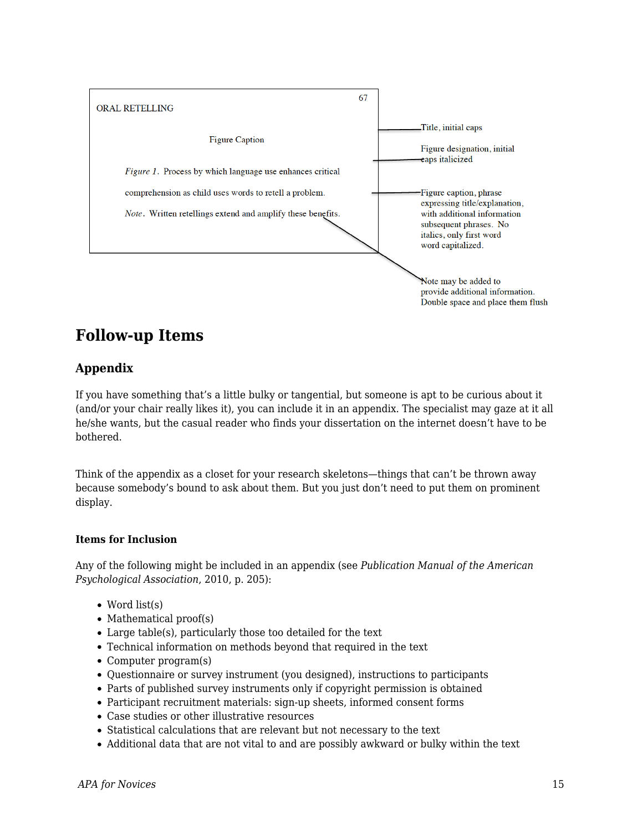

## **Follow-up Items**

## **Appendix**

If you have something that's a little bulky or tangential, but someone is apt to be curious about it (and/or your chair really likes it), you can include it in an appendix. The specialist may gaze at it all he/she wants, but the casual reader who finds your dissertation on the internet doesn't have to be bothered.

Think of the appendix as a closet for your research skeletons—things that can't be thrown away because somebody's bound to ask about them. But you just don't need to put them on prominent display.

#### **Items for Inclusion**

Any of the following might be included in an appendix (see *Publication Manual of the American Psychological Association*, 2010, p. 205):

- Word list(s)
- $\bullet$  Mathematical proof(s)
- Large table(s), particularly those too detailed for the text
- Technical information on methods beyond that required in the text
- Computer program(s)
- Questionnaire or survey instrument (you designed), instructions to participants
- Parts of published survey instruments only if copyright permission is obtained
- Participant recruitment materials: sign-up sheets, informed consent forms
- Case studies or other illustrative resources
- Statistical calculations that are relevant but not necessary to the text
- Additional data that are not vital to and are possibly awkward or bulky within the text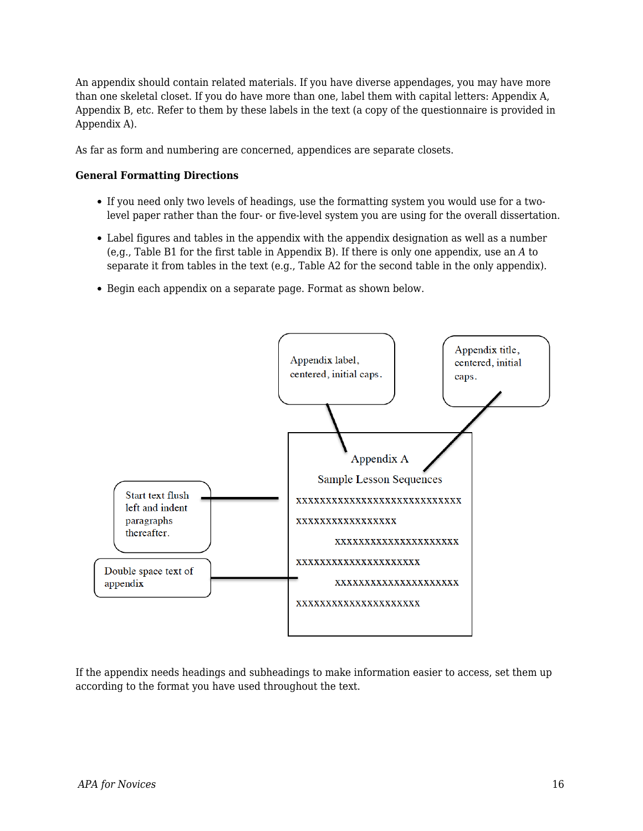An appendix should contain related materials. If you have diverse appendages, you may have more than one skeletal closet. If you do have more than one, label them with capital letters: Appendix A, Appendix B, etc. Refer to them by these labels in the text (a copy of the questionnaire is provided in Appendix A).

As far as form and numbering are concerned, appendices are separate closets.

#### **General Formatting Directions**

- If you need only two levels of headings, use the formatting system you would use for a twolevel paper rather than the four- or five-level system you are using for the overall dissertation.
- Label figures and tables in the appendix with the appendix designation as well as a number (e,g., Table B1 for the first table in Appendix B). If there is only one appendix, use an *A* to separate it from tables in the text (e.g., Table A2 for the second table in the only appendix).
- Begin each appendix on a separate page. Format as shown below.



If the appendix needs headings and subheadings to make information easier to access, set them up according to the format you have used throughout the text.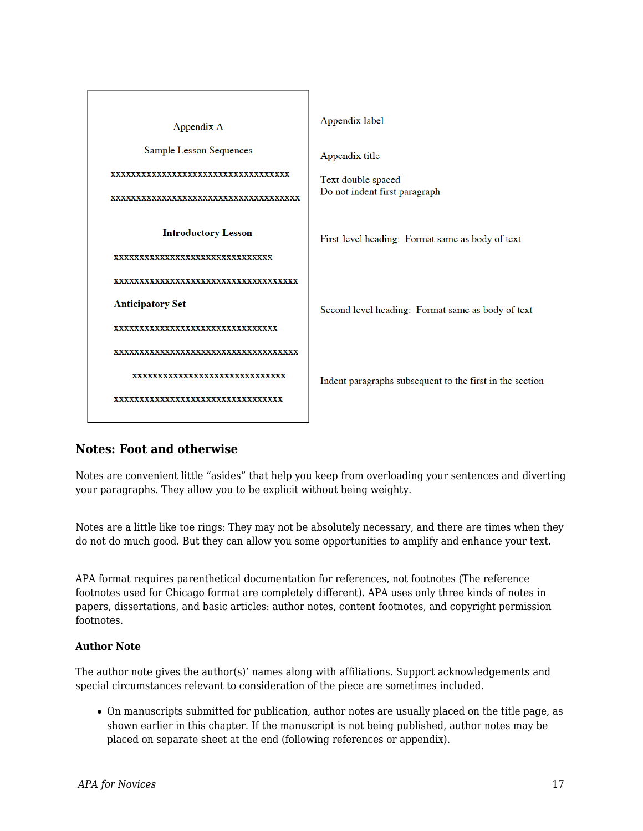

## **Notes: Foot and otherwise**

Notes are convenient little "asides" that help you keep from overloading your sentences and diverting your paragraphs. They allow you to be explicit without being weighty.

Notes are a little like toe rings: They may not be absolutely necessary, and there are times when they do not do much good. But they can allow you some opportunities to amplify and enhance your text.

APA format requires parenthetical documentation for references, not footnotes (The reference footnotes used for Chicago format are completely different). APA uses only three kinds of notes in papers, dissertations, and basic articles: author notes, content footnotes, and copyright permission footnotes.

#### **Author Note**

The author note gives the author(s)' names along with affiliations. Support acknowledgements and special circumstances relevant to consideration of the piece are sometimes included.

On manuscripts submitted for publication, author notes are usually placed on the title page, as shown earlier in this chapter. If the manuscript is not being published, author notes may be placed on separate sheet at the end (following references or appendix).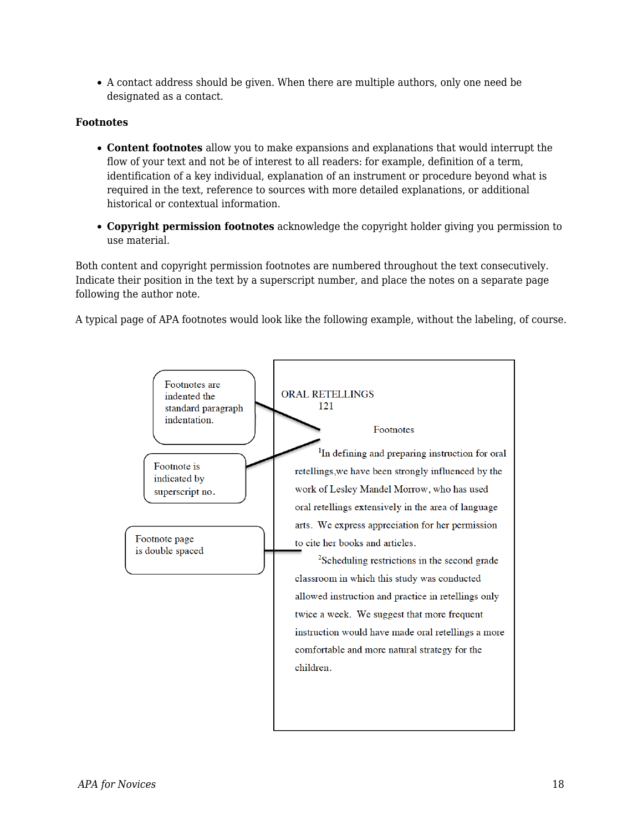A contact address should be given. When there are multiple authors, only one need be designated as a contact.

#### **Footnotes**

- **Content footnotes** allow you to make expansions and explanations that would interrupt the flow of your text and not be of interest to all readers: for example, definition of a term, identification of a key individual, explanation of an instrument or procedure beyond what is required in the text, reference to sources with more detailed explanations, or additional historical or contextual information.
- **Copyright permission footnotes** acknowledge the copyright holder giving you permission to use material.

Both content and copyright permission footnotes are numbered throughout the text consecutively. Indicate their position in the text by a superscript number, and place the notes on a separate page following the author note.

A typical page of APA footnotes would look like the following example, without the labeling, of course.